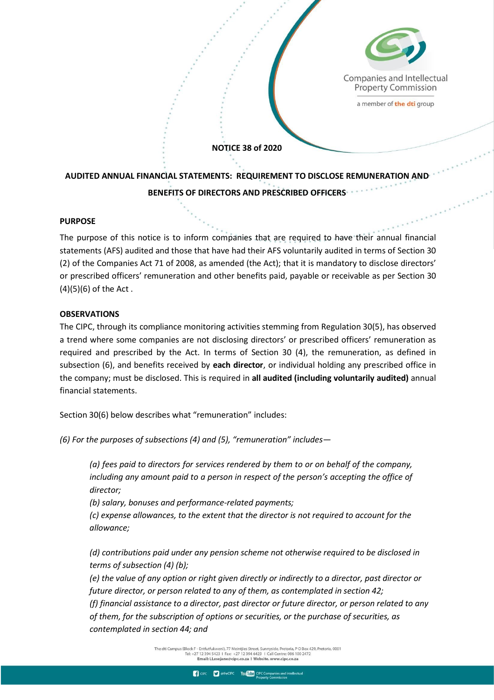

Companies and Intellectual **Property Commission** 

a member of the dti group

#### **NOTICE 38 of 2020**

**AUDITED ANNUAL FINANCIAL STATEMENTS: REQUIREMENT TO DISCLOSE REMUNERATION AND BENEFITS OF DIRECTORS AND PRESCRIBED OFFICERS**

## **PURPOSE**

The purpose of this notice is to inform companies that are required to have their annual financial statements (AFS) audited and those that have had their AFS voluntarily audited in terms of Section 30 (2) of the Companies Act 71 of 2008, as amended (the Act); that it is mandatory to disclose directors' or prescribed officers' remuneration and other benefits paid, payable or receivable as per Section 30 (4)(5)(6) of the Act .

## **OBSERVATIONS**

The CIPC, through its compliance monitoring activities stemming from Regulation 30(5), has observed a trend where some companies are not disclosing directors' or prescribed officers' remuneration as required and prescribed by the Act. In terms of Section 30 (4), the remuneration, as defined in subsection (6), and benefits received by **each director**, or individual holding any prescribed office in the company; must be disclosed. This is required in **all audited (including voluntarily audited)** annual financial statements.

Section 30(6) below describes what "remuneration" includes:

*(6) For the purposes of subsections (4) and (5), "remuneration" includes—*

*(a) fees paid to directors for services rendered by them to or on behalf of the company, including any amount paid to a person in respect of the person's accepting the office of director;*

*(b) salary, bonuses and performance-related payments;*

*(c) expense allowances, to the extent that the director is not required to account for the allowance;*

*(d) contributions paid under any pension scheme not otherwise required to be disclosed in terms of subsection (4) (b);*

*(e) the value of any option or right given directly or indirectly to a director, past director or future director, or person related to any of them, as contemplated in section 42; (f) financial assistance to a director, past director or future director, or person related to any of them, for the subscription of options or securities, or the purchase of securities, as contemplated in section 44; and*

8lock F - Entfutfukweni), 77 Meintjies Street, Sunnyside, Pretoria, P O Box 429, Pretoria, 0001<br>Tel: +27 12 394 5423 ∣ Fax: +27 12 394 6423 ∣ Call Centre: 086 100 2472<br>**Email: LLesejane@cipc.co.za ∣ Website. www.cipc.co.z**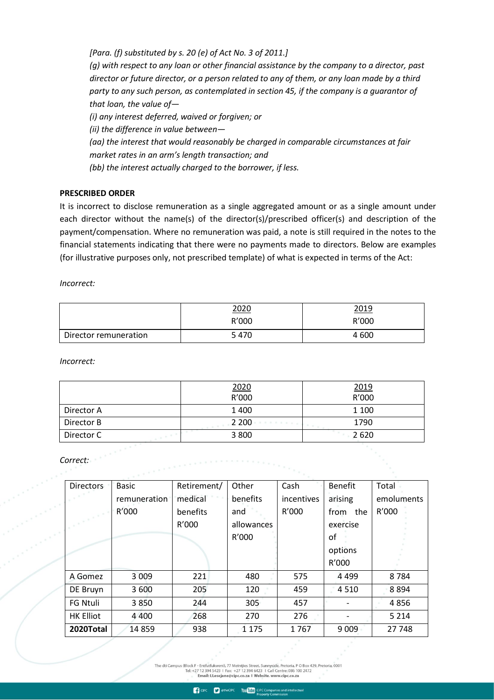*[Para. (f) substituted by s. 20 (e) of Act No. 3 of 2011.] (g) with respect to any loan or other financial assistance by the company to a director, past director or future director, or a person related to any of them, or any loan made by a third party to any such person, as contemplated in section 45, if the company is a guarantor of that loan, the value of— (i) any interest deferred, waived or forgiven; or (ii) the difference in value between— (aa) the interest that would reasonably be charged in comparable circumstances at fair market rates in an arm's length transaction; and (bb) the interest actually charged to the borrower, if less.*

# **PRESCRIBED ORDER**

It is incorrect to disclose remuneration as a single aggregated amount or as a single amount under each director without the name(s) of the director(s)/prescribed officer(s) and description of the payment/compensation. Where no remuneration was paid, a note is still required in the notes to the financial statements indicating that there were no payments made to directors. Below are examples (for illustrative purposes only, not prescribed template) of what is expected in terms of the Act:

*Incorrect:*

|                       | 2020  | 2019  |  |  |
|-----------------------|-------|-------|--|--|
|                       | R'000 | R'000 |  |  |
| Director remuneration | 5 470 | 4 600 |  |  |

*Incorrect:*

|            | 2020    | 2019    |  |  |
|------------|---------|---------|--|--|
|            | R'000   | R'000   |  |  |
| Director A | 1 400   | 1 1 0 0 |  |  |
| Director B | 2 2 0 0 | 1790    |  |  |
| Director C | 3 8 0 0 | 2 6 2 0 |  |  |

*Correct:*

| <b>Directors</b> | <b>Basic</b> | Retirement/ | Other      | Cash       | Benefit     | Total      |
|------------------|--------------|-------------|------------|------------|-------------|------------|
|                  | remuneration | medical     | benefits   | incentives | arising     | emoluments |
|                  | R'000        | benefits    | and        | R'000      | from<br>the | R'000      |
|                  |              | R'000       | allowances |            | exercise    |            |
|                  |              |             | R'000      |            | οf          |            |
|                  |              |             |            |            | options     |            |
|                  |              |             |            |            | R'000       |            |
| A Gomez          | 3 0 0 9      | 221         | 480        | 575        | 4 4 9 9     | 8784       |
| DE Bruyn         | 3 600        | 205         | 120        | 459        | 4 5 1 0     | 8894       |
| <b>FG Ntuli</b>  | 3850         | 244         | 305        | 457        |             | 4856       |
| <b>HK Elliot</b> | 4 4 0 0      | 268         | 270        | 276        |             | 5 2 1 4    |
| 2020Total        | 14 8 59      | 938         | 1175       | 1767       | 9 0 0 9     | 27 748     |

The dti Campus (Block F - Entfutfukweni), 77 Meintjies Street, Sunnyside, Pretoria, P O Box 429, Pretoria, 0001<br>Tel: +27 12 394 5423 | Fax: +27 12 394 6423 | Call Centre: 086 100 2472 Email: LLesejane@cipc.co.za | Website. www.cipc.co.za